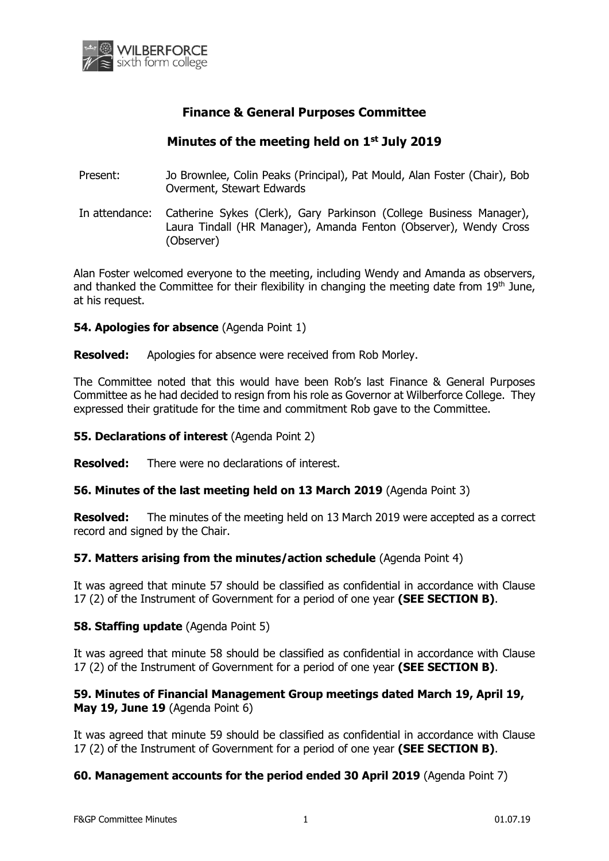

# **Finance & General Purposes Committee**

# **Minutes of the meeting held on 1 st July 2019**

- Present: Jo Brownlee, Colin Peaks (Principal), Pat Mould, Alan Foster (Chair), Bob Overment, Stewart Edwards
- In attendance: Catherine Sykes (Clerk), Gary Parkinson (College Business Manager), Laura Tindall (HR Manager), Amanda Fenton (Observer), Wendy Cross (Observer)

Alan Foster welcomed everyone to the meeting, including Wendy and Amanda as observers, and thanked the Committee for their flexibility in changing the meeting date from  $19<sup>th</sup>$  June, at his request.

#### **54. Apologies for absence** (Agenda Point 1)

**Resolved:** Apologies for absence were received from Rob Morley.

The Committee noted that this would have been Rob's last Finance & General Purposes Committee as he had decided to resign from his role as Governor at Wilberforce College. They expressed their gratitude for the time and commitment Rob gave to the Committee.

#### **55. Declarations of interest** (Agenda Point 2)

**Resolved:** There were no declarations of interest.

## **56. Minutes of the last meeting held on 13 March 2019** (Agenda Point 3)

**Resolved:** The minutes of the meeting held on 13 March 2019 were accepted as a correct record and signed by the Chair.

## **57. Matters arising from the minutes/action schedule** (Agenda Point 4)

It was agreed that minute 57 should be classified as confidential in accordance with Clause 17 (2) of the Instrument of Government for a period of one year **(SEE SECTION B)**.

## **58. Staffing update** (Agenda Point 5)

It was agreed that minute 58 should be classified as confidential in accordance with Clause 17 (2) of the Instrument of Government for a period of one year **(SEE SECTION B)**.

## **59. Minutes of Financial Management Group meetings dated March 19, April 19, May 19, June 19** (Agenda Point 6)

It was agreed that minute 59 should be classified as confidential in accordance with Clause 17 (2) of the Instrument of Government for a period of one year **(SEE SECTION B)**.

## **60. Management accounts for the period ended 30 April 2019** (Agenda Point 7)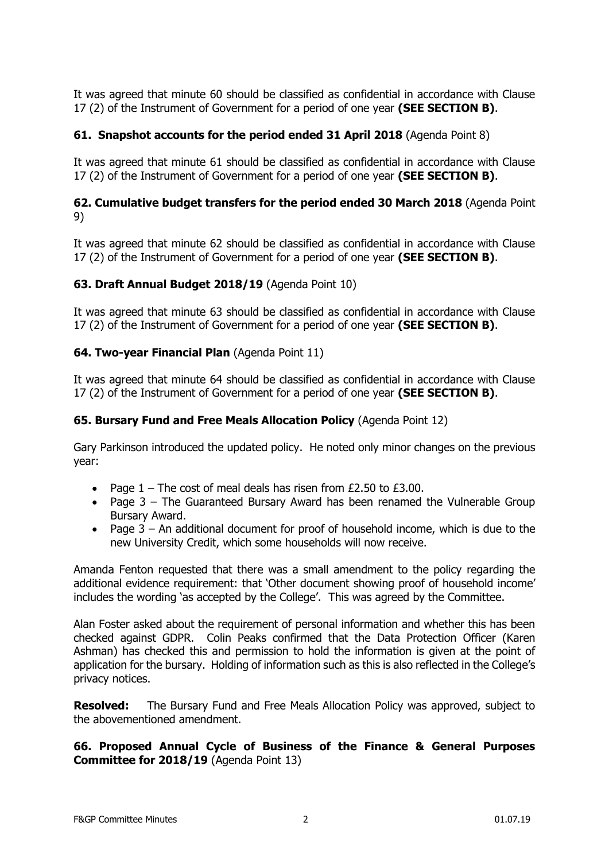It was agreed that minute 60 should be classified as confidential in accordance with Clause 17 (2) of the Instrument of Government for a period of one year **(SEE SECTION B)**.

## **61. Snapshot accounts for the period ended 31 April 2018** (Agenda Point 8)

It was agreed that minute 61 should be classified as confidential in accordance with Clause 17 (2) of the Instrument of Government for a period of one year **(SEE SECTION B)**.

## **62. Cumulative budget transfers for the period ended 30 March 2018** (Agenda Point 9)

It was agreed that minute 62 should be classified as confidential in accordance with Clause 17 (2) of the Instrument of Government for a period of one year **(SEE SECTION B)**.

## **63. Draft Annual Budget 2018/19** (Agenda Point 10)

It was agreed that minute 63 should be classified as confidential in accordance with Clause 17 (2) of the Instrument of Government for a period of one year **(SEE SECTION B)**.

## **64. Two-year Financial Plan** (Agenda Point 11)

It was agreed that minute 64 should be classified as confidential in accordance with Clause 17 (2) of the Instrument of Government for a period of one year **(SEE SECTION B)**.

## **65. Bursary Fund and Free Meals Allocation Policy** (Agenda Point 12)

Gary Parkinson introduced the updated policy. He noted only minor changes on the previous year:

- Page  $1$  The cost of meal deals has risen from  $£2.50$  to  $£3.00$ .
- Page 3 The Guaranteed Bursary Award has been renamed the Vulnerable Group Bursary Award.
- Page 3 An additional document for proof of household income, which is due to the new University Credit, which some households will now receive.

Amanda Fenton requested that there was a small amendment to the policy regarding the additional evidence requirement: that 'Other document showing proof of household income' includes the wording 'as accepted by the College'. This was agreed by the Committee.

Alan Foster asked about the requirement of personal information and whether this has been checked against GDPR. Colin Peaks confirmed that the Data Protection Officer (Karen Ashman) has checked this and permission to hold the information is given at the point of application for the bursary. Holding of information such as this is also reflected in the College's privacy notices.

**Resolved:** The Bursary Fund and Free Meals Allocation Policy was approved, subject to the abovementioned amendment.

## **66. Proposed Annual Cycle of Business of the Finance & General Purposes Committee for 2018/19** (Agenda Point 13)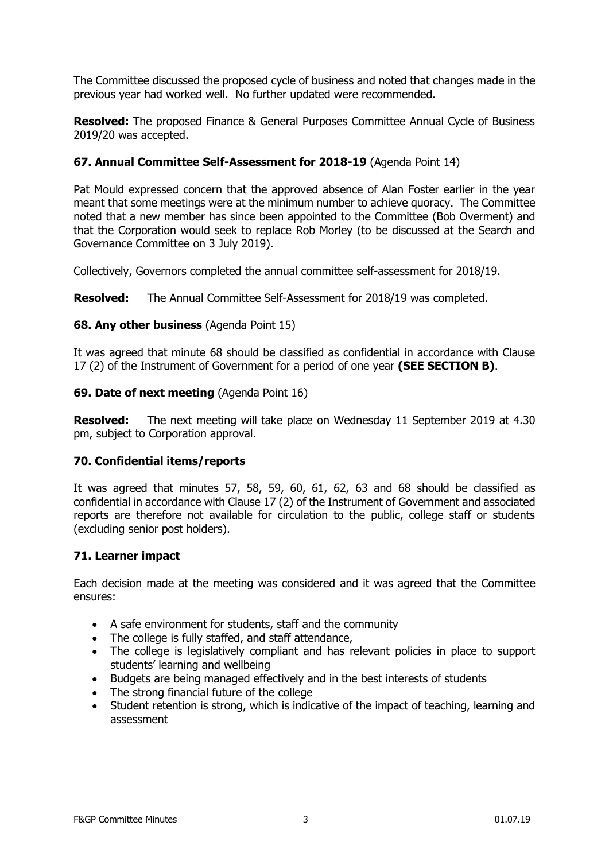The Committee discussed the proposed cycle of business and noted that changes made in the previous year had worked well. No further updated were recommended.

**Resolved:** The proposed Finance & General Purposes Committee Annual Cycle of Business 2019/20 was accepted.

## **67. Annual Committee Self-Assessment for 2018-19** (Agenda Point 14)

Pat Mould expressed concern that the approved absence of Alan Foster earlier in the year meant that some meetings were at the minimum number to achieve quoracy. The Committee noted that a new member has since been appointed to the Committee (Bob Overment) and that the Corporation would seek to replace Rob Morley (to be discussed at the Search and Governance Committee on 3 July 2019).

Collectively, Governors completed the annual committee self-assessment for 2018/19.

**Resolved:** The Annual Committee Self-Assessment for 2018/19 was completed.

## **68. Any other business** (Agenda Point 15)

It was agreed that minute 68 should be classified as confidential in accordance with Clause 17 (2) of the Instrument of Government for a period of one year **(SEE SECTION B)**.

#### **69. Date of next meeting** (Agenda Point 16)

**Resolved:** The next meeting will take place on Wednesday 11 September 2019 at 4.30 pm, subject to Corporation approval.

## **70. Confidential items/reports**

It was agreed that minutes 57, 58, 59, 60, 61, 62, 63 and 68 should be classified as confidential in accordance with Clause 17 (2) of the Instrument of Government and associated reports are therefore not available for circulation to the public, college staff or students (excluding senior post holders).

## **71. Learner impact**

Each decision made at the meeting was considered and it was agreed that the Committee ensures:

- A safe environment for students, staff and the community
- The college is fully staffed, and staff attendance,
- The college is legislatively compliant and has relevant policies in place to support students' learning and wellbeing
- Budgets are being managed effectively and in the best interests of students
- The strong financial future of the college
- Student retention is strong, which is indicative of the impact of teaching, learning and assessment